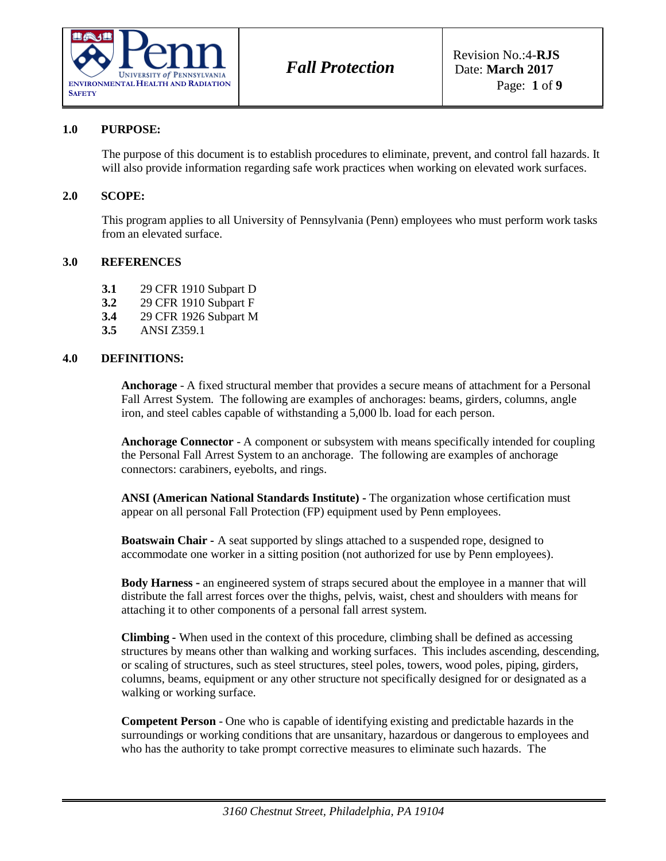

#### **1.0 PURPOSE:**

The purpose of this document is to establish procedures to eliminate, prevent, and control fall hazards. It will also provide information regarding safe work practices when working on elevated work surfaces.

#### **2.0 SCOPE:**

This program applies to all University of Pennsylvania (Penn) employees who must perform work tasks from an elevated surface.

#### **3.0 REFERENCES**

- **3.1** 29 CFR 1910 Subpart D
- **3.2** 29 CFR 1910 Subpart F
- **3.4** 29 CFR 1926 Subpart M
- **3.5** ANSI Z359.1

### **4.0 DEFINITIONS:**

**Anchorage** - A fixed structural member that provides a secure means of attachment for a Personal Fall Arrest System. The following are examples of anchorages: beams, girders, columns, angle iron, and steel cables capable of withstanding a 5,000 lb. load for each person.

**Anchorage Connector** - A component or subsystem with means specifically intended for coupling the Personal Fall Arrest System to an anchorage. The following are examples of anchorage connectors: carabiners, eyebolts, and rings.

**ANSI (American National Standards Institute) -** The organization whose certification must appear on all personal Fall Protection (FP) equipment used by Penn employees.

**Boatswain Chair -** A seat supported by slings attached to a suspended rope, designed to accommodate one worker in a sitting position (not authorized for use by Penn employees).

**Body Harness -** an engineered system of straps secured about the employee in a manner that will distribute the fall arrest forces over the thighs, pelvis, waist, chest and shoulders with means for attaching it to other components of a personal fall arrest system.

**Climbing -** When used in the context of this procedure, climbing shall be defined as accessing structures by means other than walking and working surfaces. This includes ascending, descending, or scaling of structures, such as steel structures, steel poles, towers, wood poles, piping, girders, columns, beams, equipment or any other structure not specifically designed for or designated as a walking or working surface.

**Competent Person** - One who is capable of identifying existing and predictable hazards in the surroundings or working conditions that are unsanitary, hazardous or dangerous to employees and who has the authority to take prompt corrective measures to eliminate such hazards. The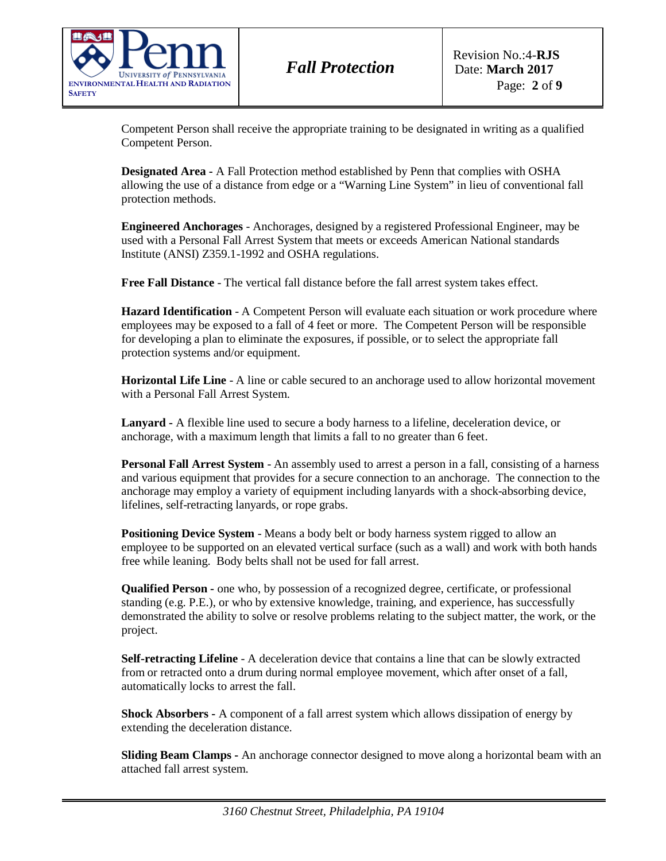

*Fall Protection*

Competent Person shall receive the appropriate training to be designated in writing as a qualified Competent Person.

**Designated Area -** A Fall Protection method established by Penn that complies with OSHA allowing the use of a distance from edge or a "Warning Line System" in lieu of conventional fall protection methods.

**Engineered Anchorages** - Anchorages, designed by a registered Professional Engineer, may be used with a Personal Fall Arrest System that meets or exceeds American National standards Institute (ANSI) Z359.1-1992 and OSHA regulations.

**Free Fall Distance** - The vertical fall distance before the fall arrest system takes effect.

**Hazard Identification** - A Competent Person will evaluate each situation or work procedure where employees may be exposed to a fall of 4 feet or more. The Competent Person will be responsible for developing a plan to eliminate the exposures, if possible, or to select the appropriate fall protection systems and/or equipment.

**Horizontal Life Line** - A line or cable secured to an anchorage used to allow horizontal movement with a Personal Fall Arrest System.

**Lanyard -** A flexible line used to secure a body harness to a lifeline, deceleration device, or anchorage, with a maximum length that limits a fall to no greater than 6 feet.

**Personal Fall Arrest System** - An assembly used to arrest a person in a fall, consisting of a harness and various equipment that provides for a secure connection to an anchorage. The connection to the anchorage may employ a variety of equipment including lanyards with a shock-absorbing device, lifelines, self-retracting lanyards, or rope grabs.

**Positioning Device System** - Means a body belt or body harness system rigged to allow an employee to be supported on an elevated vertical surface (such as a wall) and work with both hands free while leaning. Body belts shall not be used for fall arrest.

**Qualified Person -** one who, by possession of a recognized degree, certificate, or professional standing (e.g. P.E.), or who by extensive knowledge, training, and experience, has successfully demonstrated the ability to solve or resolve problems relating to the subject matter, the work, or the project.

**Self-retracting Lifeline** - A deceleration device that contains a line that can be slowly extracted from or retracted onto a drum during normal employee movement, which after onset of a fall, automatically locks to arrest the fall.

**Shock Absorbers -** A component of a fall arrest system which allows dissipation of energy by extending the deceleration distance.

**Sliding Beam Clamps -** An anchorage connector designed to move along a horizontal beam with an attached fall arrest system.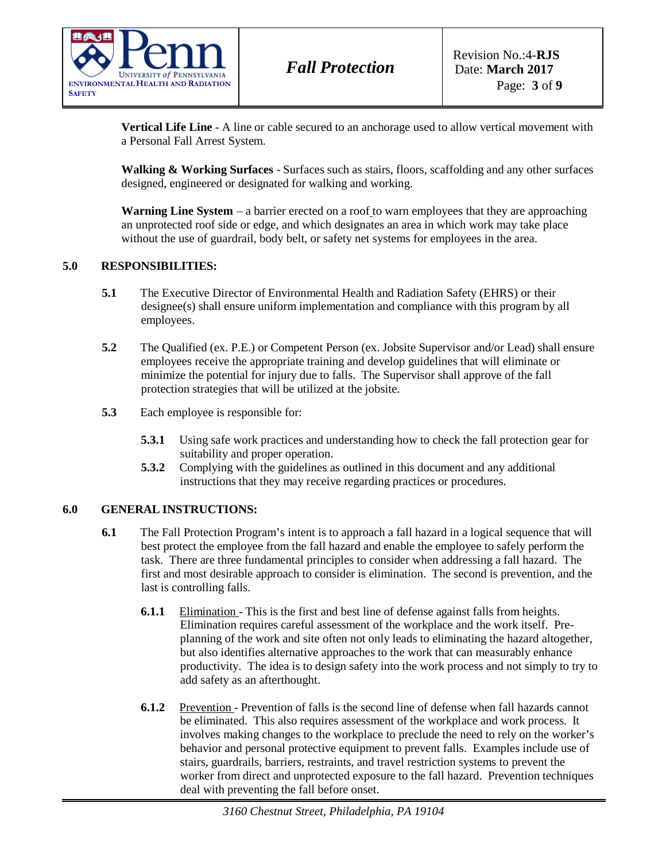

**Vertical Life Line** - A line or cable secured to an anchorage used to allow vertical movement with a Personal Fall Arrest System.

**Walking & Working Surfaces** - Surfaces such as stairs, floors, scaffolding and any other surfaces designed, engineered or designated for walking and working.

**Warning Line System** – a barrier erected on a [roof](https://definedterm.com/a/definition/49682) to warn employees that they are approaching an unprotected [roof](https://definedterm.com/a/definition/49682) side or edge, and which designates an area in which work may take place without the use of guardrail, body belt, or safety net systems for employees in the area.

### **5.0 RESPONSIBILITIES:**

- **5.1** The Executive Director of Environmental Health and Radiation Safety (EHRS) or their designee(s) shall ensure uniform implementation and compliance with this program by all employees.
- **5.2** The Qualified (ex. P.E.) or Competent Person (ex. Jobsite Supervisor and/or Lead) shall ensure employees receive the appropriate training and develop guidelines that will eliminate or minimize the potential for injury due to falls. The Supervisor shall approve of the fall protection strategies that will be utilized at the jobsite.
- **5.3** Each employee is responsible for:
	- **5.3.1** Using safe work practices and understanding how to check the fall protection gear for suitability and proper operation.
	- **5.3.2** Complying with the guidelines as outlined in this document and any additional instructions that they may receive regarding practices or procedures.

### **6.0 GENERAL INSTRUCTIONS:**

- **6.1** The Fall Protection Program's intent is to approach a fall hazard in a logical sequence that will best protect the employee from the fall hazard and enable the employee to safely perform the task. There are three fundamental principles to consider when addressing a fall hazard. The first and most desirable approach to consider is elimination. The second is prevention, and the last is controlling falls.
	- **6.1.1** Elimination This is the first and best line of defense against falls from heights. Elimination requires careful assessment of the workplace and the work itself. Preplanning of the work and site often not only leads to eliminating the hazard altogether, but also identifies alternative approaches to the work that can measurably enhance productivity. The idea is to design safety into the work process and not simply to try to add safety as an afterthought.
	- **6.1.2** Prevention Prevention of falls is the second line of defense when fall hazards cannot be eliminated. This also requires assessment of the workplace and work process. It involves making changes to the workplace to preclude the need to rely on the worker's behavior and personal protective equipment to prevent falls. Examples include use of stairs, guardrails, barriers, restraints, and travel restriction systems to prevent the worker from direct and unprotected exposure to the fall hazard. Prevention techniques deal with preventing the fall before onset.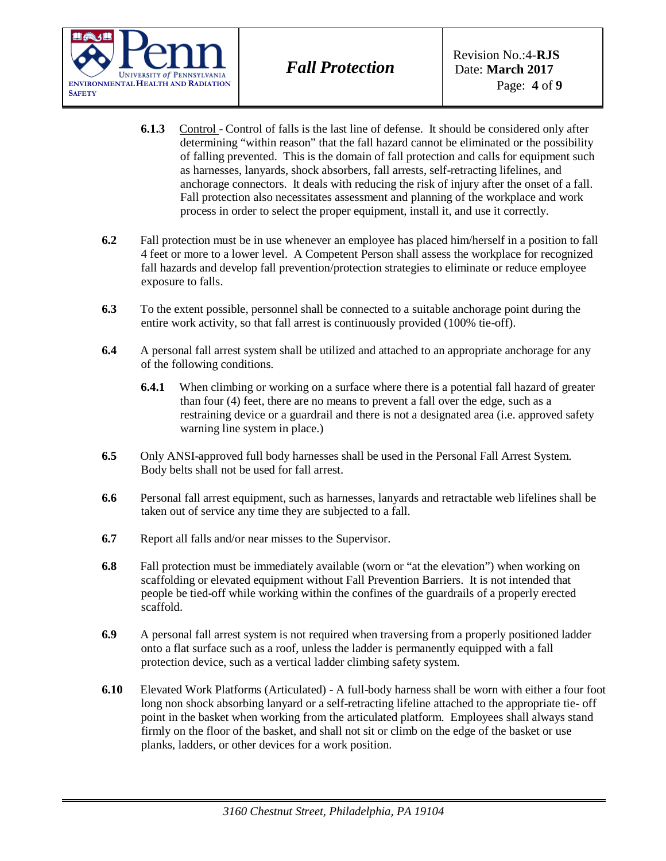

- **6.1.3** Control Control of falls is the last line of defense. It should be considered only after determining "within reason" that the fall hazard cannot be eliminated or the possibility of falling prevented. This is the domain of fall protection and calls for equipment such as harnesses, lanyards, shock absorbers, fall arrests, self-retracting lifelines, and anchorage connectors. It deals with reducing the risk of injury after the onset of a fall. Fall protection also necessitates assessment and planning of the workplace and work process in order to select the proper equipment, install it, and use it correctly.
- **6.2** Fall protection must be in use whenever an employee has placed him/herself in a position to fall 4 feet or more to a lower level. A Competent Person shall assess the workplace for recognized fall hazards and develop fall prevention/protection strategies to eliminate or reduce employee exposure to falls.
- **6.3** To the extent possible, personnel shall be connected to a suitable anchorage point during the entire work activity, so that fall arrest is continuously provided (100% tie-off).
- **6.4** A personal fall arrest system shall be utilized and attached to an appropriate anchorage for any of the following conditions.
	- **6.4.1** When climbing or working on a surface where there is a potential fall hazard of greater than four (4) feet, there are no means to prevent a fall over the edge, such as a restraining device or a guardrail and there is not a designated area (i.e. approved safety warning line system in place.)
- **6.5** Only ANSI-approved full body harnesses shall be used in the Personal Fall Arrest System. Body belts shall not be used for fall arrest.
- **6.6** Personal fall arrest equipment, such as harnesses, lanyards and retractable web lifelines shall be taken out of service any time they are subjected to a fall.
- **6.7** Report all falls and/or near misses to the Supervisor.
- **6.8** Fall protection must be immediately available (worn or "at the elevation") when working on scaffolding or elevated equipment without Fall Prevention Barriers. It is not intended that people be tied-off while working within the confines of the guardrails of a properly erected scaffold.
- **6.9** A personal fall arrest system is not required when traversing from a properly positioned ladder onto a flat surface such as a roof, unless the ladder is permanently equipped with a fall protection device, such as a vertical ladder climbing safety system.
- **6.10** Elevated Work Platforms (Articulated) A full-body harness shall be worn with either a four foot long non shock absorbing lanyard or a self-retracting lifeline attached to the appropriate tie- off point in the basket when working from the articulated platform. Employees shall always stand firmly on the floor of the basket, and shall not sit or climb on the edge of the basket or use planks, ladders, or other devices for a work position.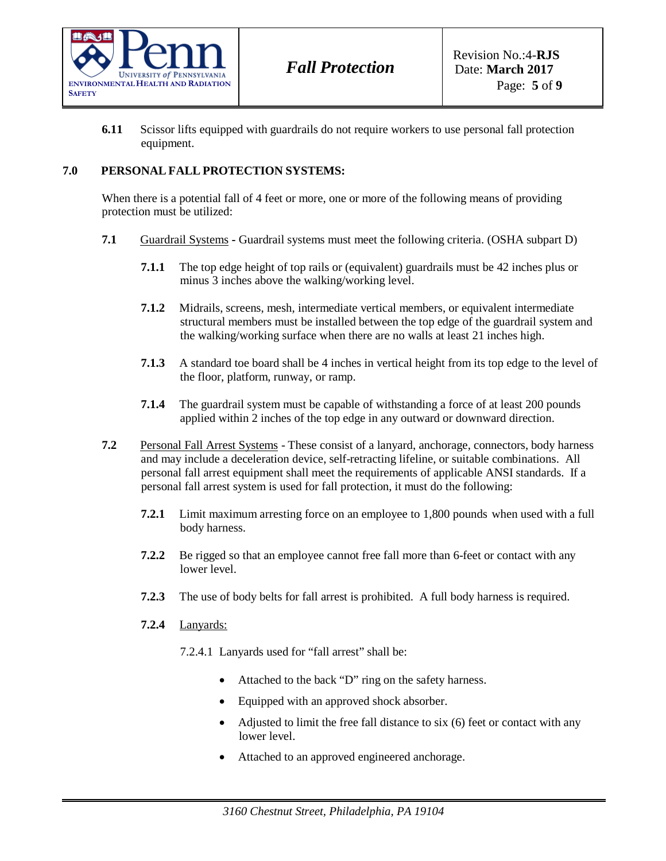

**6.11** Scissor lifts equipped with guardrails do not require workers to use personal fall protection equipment.

# **7.0 PERSONAL FALL PROTECTION SYSTEMS:**

When there is a potential fall of 4 feet or more, one or more of the following means of providing protection must be utilized:

- **7.1** Guardrail Systems **-** Guardrail systems must meet the following criteria. (OSHA subpart D)
	- **7.1.1** The top edge height of top rails or (equivalent) guardrails must be 42 inches plus or minus 3 inches above the walking/working level.
	- **7.1.2** Midrails, screens, mesh, intermediate vertical members, or equivalent intermediate structural members must be installed between the top edge of the guardrail system and the walking/working surface when there are no walls at least 21 inches high.
	- **7.1.3** A standard toe board shall be 4 inches in vertical height from its top edge to the level of the floor, platform, runway, or ramp.
	- **7.1.4** The guardrail system must be capable of withstanding a force of at least 200 pounds applied within 2 inches of the top edge in any outward or downward direction.
- **7.2** Personal Fall Arrest Systems These consist of a lanyard, anchorage, connectors, body harness and may include a deceleration device, self-retracting lifeline, or suitable combinations. All personal fall arrest equipment shall meet the requirements of applicable ANSI standards. If a personal fall arrest system is used for fall protection, it must do the following:
	- **7.2.1** Limit maximum arresting force on an employee to 1,800 pounds when used with a full body harness.
	- **7.2.2** Be rigged so that an employee cannot free fall more than 6-feet or contact with any lower level.
	- **7.2.3** The use of body belts for fall arrest is prohibited. A full body harness is required.
	- **7.2.4** Lanyards:
		- 7.2.4.1 Lanyards used for "fall arrest" shall be:
			- Attached to the back "D" ring on the safety harness.
			- Equipped with an approved shock absorber.
			- Adjusted to limit the free fall distance to six (6) feet or contact with any lower level.
			- Attached to an approved engineered anchorage.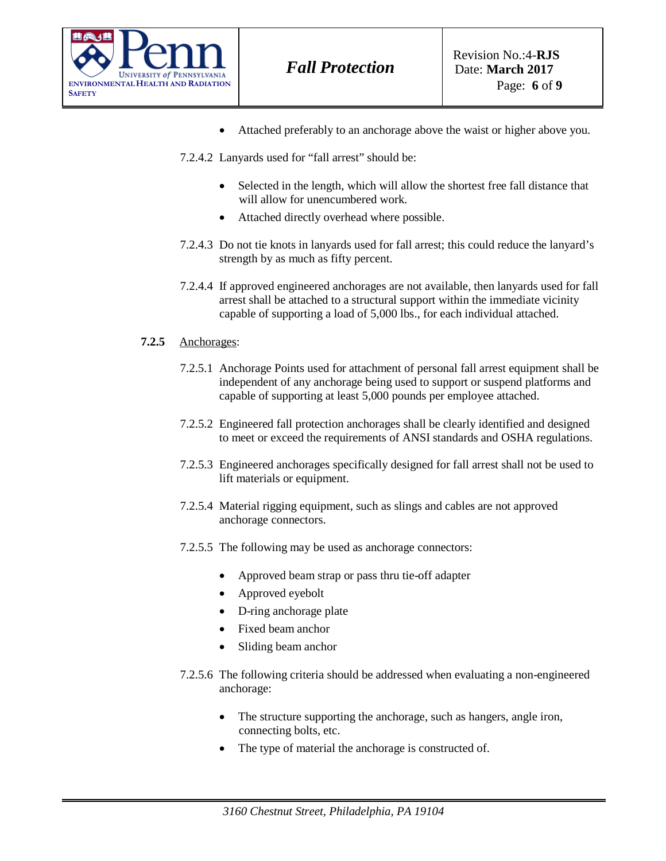

- Attached preferably to an anchorage above the waist or higher above you.
- 7.2.4.2 Lanyards used for "fall arrest" should be:
	- Selected in the length, which will allow the shortest free fall distance that will allow for unencumbered work.
	- Attached directly overhead where possible.
- 7.2.4.3 Do not tie knots in lanyards used for fall arrest; this could reduce the lanyard's strength by as much as fifty percent.
- 7.2.4.4 If approved engineered anchorages are not available, then lanyards used for fall arrest shall be attached to a structural support within the immediate vicinity capable of supporting a load of 5,000 lbs., for each individual attached.

### **7.2.5** Anchorages:

- 7.2.5.1 Anchorage Points used for attachment of personal fall arrest equipment shall be independent of any anchorage being used to support or suspend platforms and capable of supporting at least 5,000 pounds per employee attached.
- 7.2.5.2 Engineered fall protection anchorages shall be clearly identified and designed to meet or exceed the requirements of ANSI standards and OSHA regulations.
- 7.2.5.3 Engineered anchorages specifically designed for fall arrest shall not be used to lift materials or equipment.
- 7.2.5.4 Material rigging equipment, such as slings and cables are not approved anchorage connectors.
- 7.2.5.5 The following may be used as anchorage connectors:
	- Approved beam strap or pass thru tie-off adapter
	- Approved eyebolt
	- D-ring anchorage plate
	- Fixed beam anchor
	- Sliding beam anchor
- 7.2.5.6 The following criteria should be addressed when evaluating a non-engineered anchorage:
	- The structure supporting the anchorage, such as hangers, angle iron, connecting bolts, etc.
	- The type of material the anchorage is constructed of.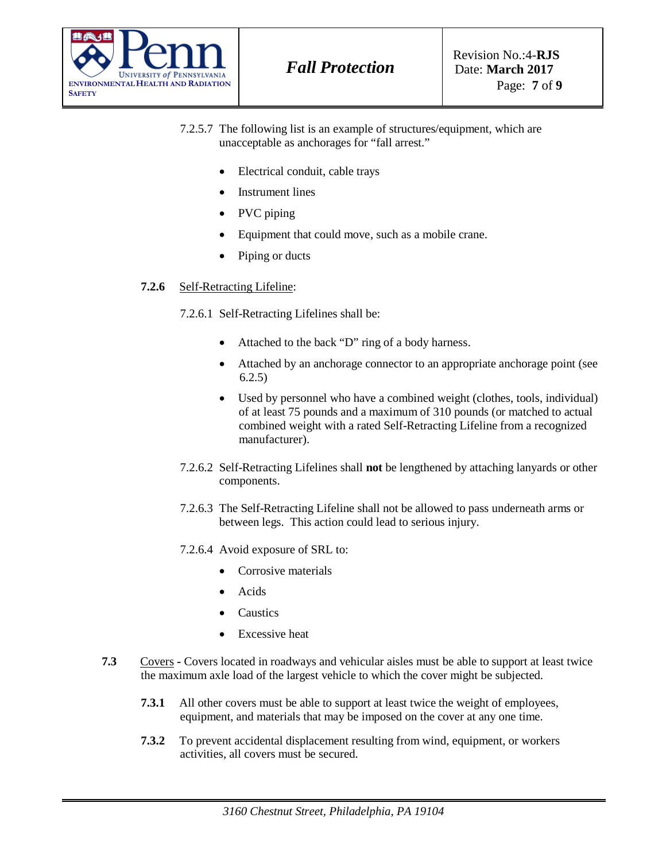

- 7.2.5.7 The following list is an example of structures/equipment, which are unacceptable as anchorages for "fall arrest."
	- Electrical conduit, cable trays
	- Instrument lines
	- PVC piping
	- Equipment that could move, such as a mobile crane.
	- Piping or ducts

### **7.2.6** Self-Retracting Lifeline:

7.2.6.1 Self-Retracting Lifelines shall be:

- Attached to the back "D" ring of a body harness.
- Attached by an anchorage connector to an appropriate anchorage point (see 6.2.5)
- Used by personnel who have a combined weight (clothes, tools, individual) of at least 75 pounds and a maximum of 310 pounds (or matched to actual combined weight with a rated Self-Retracting Lifeline from a recognized manufacturer).
- 7.2.6.2 Self-Retracting Lifelines shall **not** be lengthened by attaching lanyards or other components.
- 7.2.6.3 The Self-Retracting Lifeline shall not be allowed to pass underneath arms or between legs. This action could lead to serious injury.
- 7.2.6.4 Avoid exposure of SRL to:
	- Corrosive materials
	- Acids
	- Caustics
	- **Excessive heat**
- **7.3** Covers **-** Covers located in roadways and vehicular aisles must be able to support at least twice the maximum axle load of the largest vehicle to which the cover might be subjected.
	- **7.3.1** All other covers must be able to support at least twice the weight of employees, equipment, and materials that may be imposed on the cover at any one time.
	- **7.3.2** To prevent accidental displacement resulting from wind, equipment, or workers activities, all covers must be secured.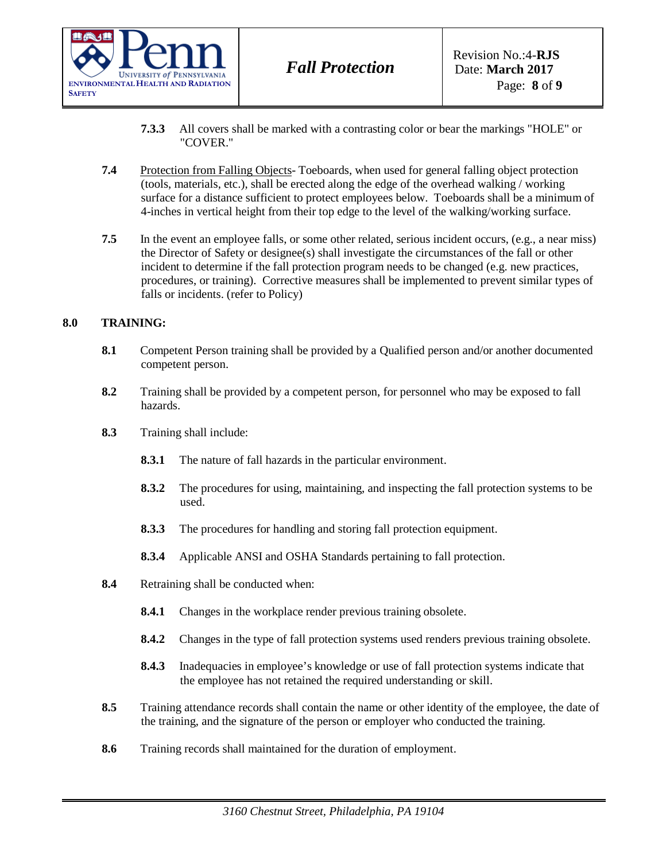

- **7.3.3** All covers shall be marked with a contrasting color or bear the markings "HOLE" or "COVER."
- **7.4** Protection from Falling Objects-Toeboards, when used for general falling object protection (tools, materials, etc.), shall be erected along the edge of the overhead walking / working surface for a distance sufficient to protect employees below. Toeboards shall be a minimum of 4-inches in vertical height from their top edge to the level of the walking/working surface.
- **7.5** In the event an employee falls, or some other related, serious incident occurs, (e.g., a near miss) the Director of Safety or designee(s) shall investigate the circumstances of the fall or other incident to determine if the fall protection program needs to be changed (e.g. new practices, procedures, or training). Corrective measures shall be implemented to prevent similar types of falls or incidents. (refer to Policy)

## **8.0 TRAINING:**

- **8.1** Competent Person training shall be provided by a Qualified person and/or another documented competent person.
- **8.2** Training shall be provided by a competent person, for personnel who may be exposed to fall hazards.
- **8.3** Training shall include:
	- **8.3.1** The nature of fall hazards in the particular environment.
	- **8.3.2** The procedures for using, maintaining, and inspecting the fall protection systems to be used.
	- **8.3.3** The procedures for handling and storing fall protection equipment.
	- **8.3.4** Applicable ANSI and OSHA Standards pertaining to fall protection.
- **8.4** Retraining shall be conducted when:
	- **8.4.1** Changes in the workplace render previous training obsolete.
	- **8.4.2** Changes in the type of fall protection systems used renders previous training obsolete.
	- **8.4.3** Inadequacies in employee's knowledge or use of fall protection systems indicate that the employee has not retained the required understanding or skill.
- **8.5** Training attendance records shall contain the name or other identity of the employee, the date of the training, and the signature of the person or employer who conducted the training.
- **8.6** Training records shall maintained for the duration of employment.